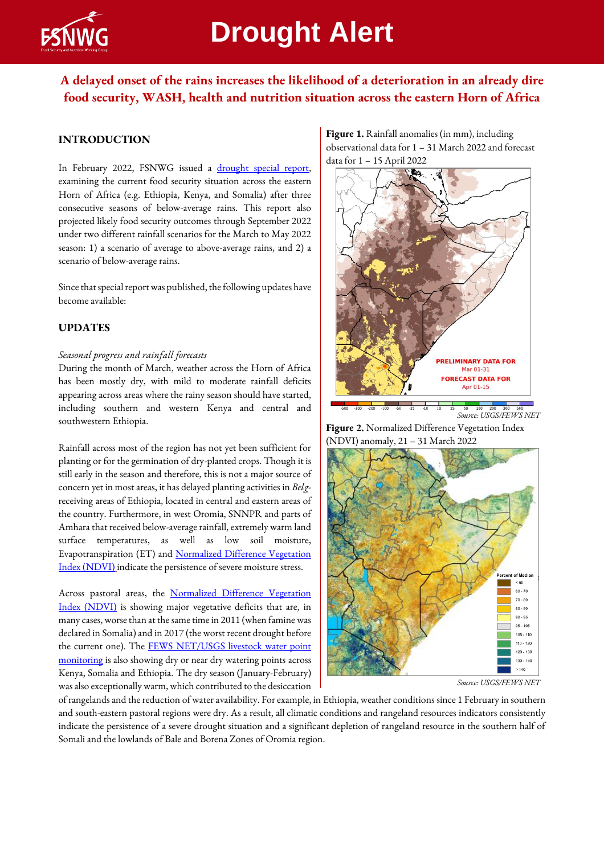

# **Drought Alert**

## **A delayed onset of the rains increases the likelihood of a deterioration in an already dire food security, WASH, health and nutrition situation across the eastern Horn of Africa**

## **INTRODUCTION**

In February 2022, FSNWG issued a drought special report, examining the current food security situation across the eastern Horn of Africa (e.g. Ethiopia, Kenya, and Somalia) after three consecutive seasons of below-average rains. This report also projected likely food security outcomes through September 2022 under two different rainfall scenarios for the March to May 2022 season: 1) a scenario of average to above-average rains, and 2) a scenario of below-average rains.

Since that special report was published, the following updates have become available:

## **UPDATES**

#### *Seasonal progress and rainfall forecasts*

During the month of March, weather across the Horn of Africa has been mostly dry, with mild to moderate rainfall deficits appearing across areas where the rainy season should have started, including southern and western Kenya and central and southwestern Ethiopia.

Rainfall across most of the region has not yet been sufficient for planting or for the germination of dry-planted crops. Though it is still early in the season and therefore, this is not a major source of concern yet in most areas, it has delayed planting activities in *Belg*receiving areas of Ethiopia, located in central and eastern areas of the country. Furthermore, in west Oromia, SNNPR and parts of Amhara that received below-average rainfall, extremely warm land surface temperatures, as well as low soil moisture, Evapotranspiration (ET) and [Normalized Difference Vegetation](https://earlywarning.usgs.gov/fews/product/448)  [Index \(NDVI\)](https://earlywarning.usgs.gov/fews/product/448) indicate the persistence of severe moisture stress.

Across pastoral areas, the Normalized Difference Vegetation [Index \(NDVI\)](https://earlywarning.usgs.gov/fews/product/448) is showing major vegetative deficits that are, in many cases,worse than at the same time in 2011 (when famine was declared in Somalia) and in 2017 (the worst recent drought before the current one). The FEWS NET/USGS livestock water point [monitoring](https://earlywarning.usgs.gov/fews/waterpoint/index.php) is also showing dry or near dry watering points across Kenya, Somalia and Ethiopia. The dry season (January-February) wasalso exceptionally warm, which contributed to the desiccation

**Figure 1.** Rainfall anomalies (in mm), including observational data for 1 – 31 March 2022 and forecast data for 1 – 15 April 2022



*Source: USGS/FEWS NET*

**Figure 2.** Normalized Difference Vegetation Index (NDVI) anomaly, 21 – 31 March 2022



*Source: USGS/FEWS NET*

of rangelands and the reduction of water availability. For example, i[n Ethiopia,](https://data.chc.ucsb.edu/people/diego/Ethiopia_dekadal_monitoring_reports/Latest_Ethiopia.pdf) weather conditions since 1 February in southern and south-eastern pastoral regions were dry. As a result, all climatic conditions and rangeland resources indicators consistently indicate the persistence of a severe drought situation and a significant depletion of rangeland resource in the southern half of Somali and the lowlands of Bale and Borena Zones of Oromia region.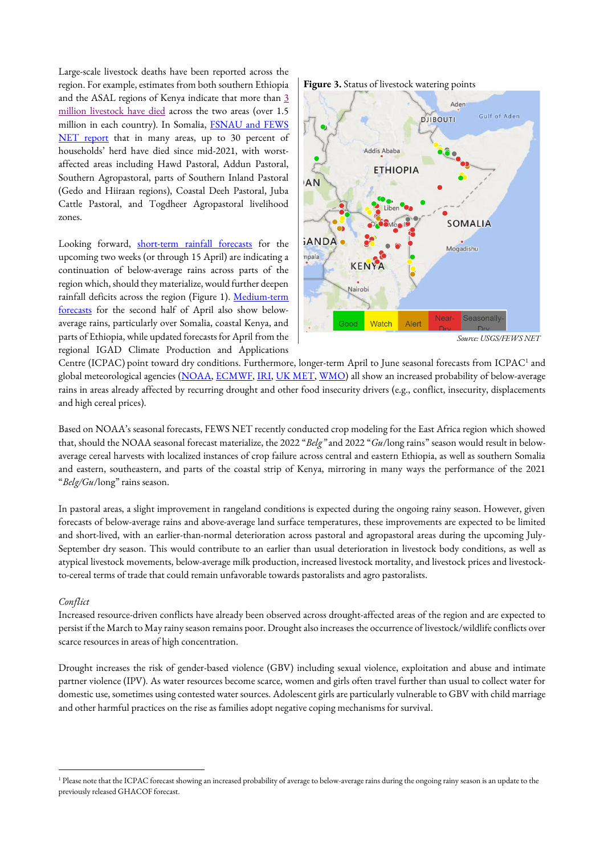Large-scale livestock deaths have been reported across the region. For example, estimates from both southern Ethiopia and the ASAL regions of Kenya indicate that more than [3](https://reliefweb.int/sites/reliefweb.int/files/resources/20220323_RHPT_KeyMessages_HornOfAfricaDrought_Update.pdf)  [million livestock have died](https://reliefweb.int/sites/reliefweb.int/files/resources/20220323_RHPT_KeyMessages_HornOfAfricaDrought_Update.pdf) across the two areas (over 1.5 million in each country). In Somalia, FSNAU and FEWS [NET report](https://fews.net/sites/default/files/documents/reports/SO-FSO-202202-final.pdf) that in many areas, up to 30 percent of households' herd have died since mid-2021, with worstaffected areas including Hawd Pastoral, Addun Pastoral, Southern Agropastoral, parts of Southern Inland Pastoral (Gedo and Hiiraan regions), Coastal Deeh Pastoral, Juba Cattle Pastoral, and Togdheer Agropastoral livelihood zones.

Looking forward, [short-term rainfall forecasts](https://www.cpc.ncep.noaa.gov/products/international/gefs_bc/afr_gefs_bc.shtml) for the upcoming two weeks (or through 15 April) are indicating a continuation of below-average rains across parts of the region which, should they materialize, would further deepen rainfall deficits across the region (Figure 1). Medium-term [forecasts](https://iridl.ldeo.columbia.edu/maproom/Global/ForecastsS2S/precip_subx.html?bbox=bb%3A23.050%3A-12.599%3A53.691%3A22.035%3Abb&S=0000%201%20Apr%202022&L=22.0®ion=bb%3A23.050%3A-12.599%3A53.691%3A22.035%3Abb) for the second half of April also show belowaverage rains, particularly over Somalia, coastal Kenya, and parts of Ethiopia, while updated forecasts for April from the regional IGAD Climate Production and Applications





*Source: USGS/FEWS NET*

Centre (ICPAC) point toward dry conditions. Furthermore, longer-term April to June seasonal forecasts from ICPAC<sup>1</sup> and global meteorological agencies [\(NOAA,](https://www.cpc.ncep.noaa.gov/products/international/nmme/probabilistic_seasonal/nmme_precip_probabilistic.shtml#AFRICA) [ECMWF,](https://apps.ecmwf.int/webapps/opencharts/products/seasonal_system5_standard_rain?area=AFRI&base_time=202203010000&stats=tsum&valid_time=202204010000) [IRI,](https://iri.columbia.edu/our-expertise/climate/forecasts/seasonal-climate-forecasts/) [UK MET,](https://www.metoffice.gov.uk/research/climate/seasonal-to-decadal/gpc-outlooks/glob-seas-prob) [WMO\)](https://www.wmolc.org/seasonPmmeUI/plot_PMME) all show an increased probability of below-average rains in areas already affected by recurring drought and other food insecurity drivers (e.g., conflict, insecurity, displacements and high cereal prices).

Based on NOAA's seasonal forecasts, FEWS NET recently conducted crop modeling for the East Africa region which showed that, should the NOAA seasonal forecast materialize, the 2022 "*Belg"* and 2022 "*Gu*/long rains" season would result in belowaverage cereal harvests with localized instances of crop failure across central and eastern Ethiopia, as well as southern Somalia and eastern, southeastern, and parts of the coastal strip of Kenya, mirroring in many ways the performance of the 2021 "*Belg/Gu*/long" rains season.

In pastoral areas, a slight improvement in rangeland conditions is expected during the ongoing rainy season. However, given forecasts of below-average rains and above-average land surface temperatures, these improvements are expected to be limited and short-lived, with an earlier-than-normal deterioration across pastoral and agropastoral areas during the upcoming July-September dry season. This would contribute to an earlier than usual deterioration in livestock body conditions, as well as atypical livestock movements, below-average milk production, increased livestock mortality, and livestock prices and livestockto-cereal terms of trade that could remain unfavorable towards pastoralists and agro pastoralists.

#### *Conflict*

Increased resource-driven conflicts have already been observed across drought-affected areas of the region and are expected to persist if the March to May rainy season remains poor. Drought also increases the occurrence of livestock/wildlife conflicts over scarce resources in areas of high concentration.

Drought increases the risk of gender-based violence (GBV) including sexual violence, exploitation and abuse and intimate partner violence (IPV). As water resources become scarce, women and girls often travel further than usual to collect water for domestic use, sometimes using contested water sources. Adolescent girls are particularly vulnerable to GBV with child marriage and other harmful practices on the rise as families adopt negative coping mechanisms for survival.

<sup>&</sup>lt;sup>1</sup> Please note that the ICPAC forecast showing an increased probability of average to below-average rains during the ongoing rainy season is an update to the previously released GHACOF forecast.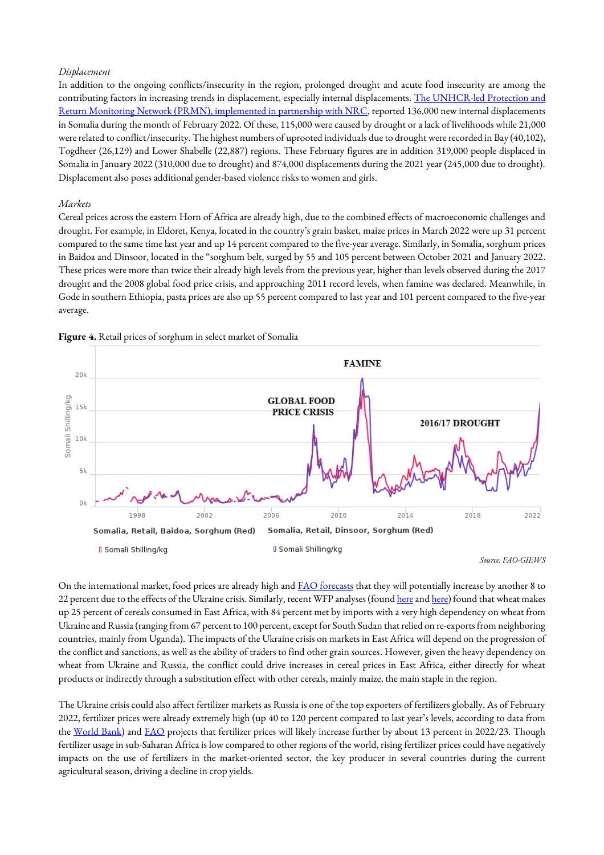#### *Displacement*

In addition to the ongoing conflicts/insecurity in the region, prolonged drought and acute food insecurity are among the contributing factors in increasing trends in displacement, especially internal displacements. The UNHCR-led Protection and Return Monitoring Network (PRMN), [implemented in partnership with NRC,](https://reporting.unhcr.org/document/1953) reported 136,000 new internal displacements in Somalia during the month of February 2022. Of these, 115,000 were caused by drought or a lack of livelihoods while 21,000 were related to conflict/insecurity. The highest numbers of uprooted individuals dueto drought were recorded in Bay (40,102), Togdheer (26,129) and Lower Shabelle (22,887) regions. These February figures are in addition 319,000 people displaced in Somalia in January 2022 (310,000 due to drought) and 874,000 displacements during the 2021 year (245,000 due to drought). Displacement also poses additional gender-based violence risks to women and girls.

#### *Markets*

Cereal prices across the eastern Horn of Africa are already high, due to the combined effects of macroeconomic challenges and drought. For example, in Eldoret, Kenya, located in the country's grain basket, maize prices in March 2022 were up 31 percent compared to the same time last year and up 14 percent compared to the five-year average. Similarly, in Somalia, sorghum prices in Baidoa and Dinsoor, located in the "sorghum belt, surged by 55 and 105 percent between October 2021 and January 2022. These prices were more than twice their already high levels from the previous year, higher than levels observed during the 2017 drought and the 2008 global food price crisis, and approaching 2011 record levels, when famine was declared. Meanwhile, in Gode in southern Ethiopia, pasta prices are also up 55 percent compared to last year and 101 percent compared to the five-year average.



**Figure 4.** Retail prices of sorghum in select market of Somalia

*Source: FAO-GIEWS*

On the international market, food prices are already high and **FAO** forecasts that they will potentially increase by another 8 to 22 percent due to the effects of the Ukraine crisis. Similarly, recent WFP analyses (foun[d here](https://reliefweb.int/sites/reliefweb.int/files/resources/WFP-0000137369.pdf) an[d here\)](https://reliefweb.int/report/burundi/implications-ukraine-conflict-food-access-and-availability-eastern-africa-region-0) found that wheat makes up 25 percent of cereals consumed in East Africa, with 84 percent met by imports with a very high dependency on wheat from Ukraine and Russia(ranging from 67 percent to 100 percent, except for South Sudan that relied on re-exports from neighboring countries, mainly from Uganda). The impacts of the Ukraine crisis on markets in East Africa will depend on the progression of the conflict and sanctions, as well as the ability of traders to find other grain sources. However, given the heavy dependency on wheat from Ukraine and Russia, the conflict could drive increases in cereal prices in East Africa, either directly for wheat products or indirectly through a substitution effect with other cereals, mainly maize, the main staple in the region.

The Ukraine crisis could also affect fertilizer markets as Russia is one of the top exporters of fertilizers globally. As of February 2022, fertilizer prices were already extremely high (up 40 to 120 percent compared to last year's levels, according to data from the [World Bank\)](https://www.worldbank.org/en/research/commodity-markets) and [FAO](https://www.fao.org/3/cb9236en/cb9236en.pdf) projects that fertilizer prices will likely increase further by about 13 percent in 2022/23. Though fertilizer usage in sub-Saharan Africa is low compared to other regions of the world, rising fertilizer prices could have negatively impacts on the use of fertilizers in the market-oriented sector, the key producer in several countries during the current agricultural season, driving a decline in crop yields.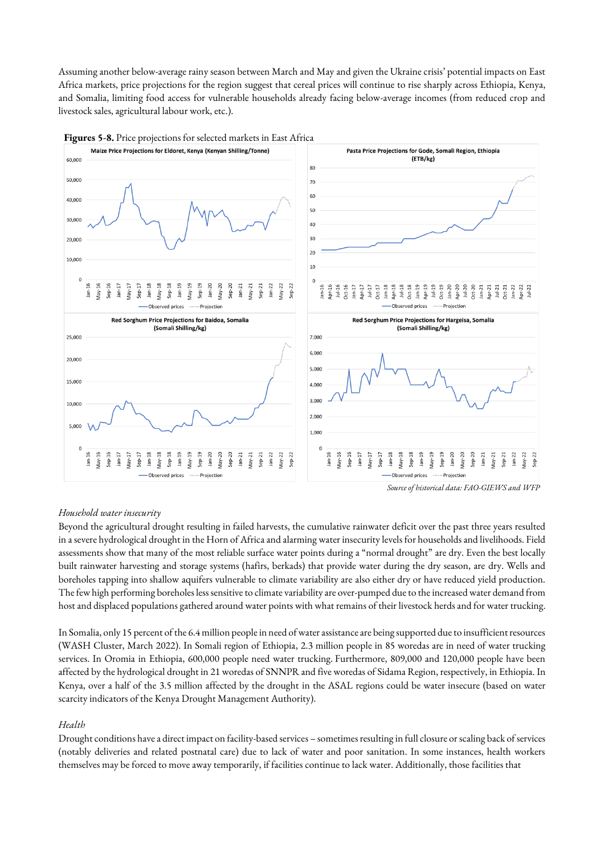Assuming another below-average rainy season between March and May and given the Ukraine crisis' potential impacts on East Africa markets, price projections for the region suggest that cereal prices will continue to rise sharply across Ethiopia, Kenya, and Somalia, limiting food access for vulnerable households already facing below-average incomes (from reduced crop and livestock sales, agricultural labour work, etc.).





## *Household water insecurity*

Beyond the agricultural drought resulting in failed harvests, the cumulative rainwater deficit over the past three years resulted in a severe hydrological drought in the Horn of Africa and alarming water insecurity levels for households and livelihoods. Field assessments show that many of the most reliable surface water points during a "normal drought" are dry. Even the best locally built rainwater harvesting and storage systems (hafirs, berkads) that provide water during the dry season, are dry. Wells and boreholes tapping into shallow aquifers vulnerable to climate variability are also either dry or have reduced yield production. The few high performing boreholes less sensitive to climate variability are over-pumped due to the increased water demand from host and displaced populations gathered around water points with what remains of their livestock herds and for water trucking.

In Somalia, only 15 percent of the 6.4 million people in need of water assistance are being supported due to insufficient resources (WASH Cluster, March 2022). In Somali region of Ethiopia, 2.3 million people in 85 woredas are in need of water trucking services. In Oromia in Ethiopia, 600,000 people need water trucking. Furthermore, 809,000 and 120,000 people have been affected by the hydrological drought in 21 woredas of SNNPR and five woredas of Sidama Region, respectively, in Ethiopia. In Kenya, over a half of the 3.5 million affected by the drought in the ASAL regions could be water insecure (based on water scarcity indicators of the Kenya Drought Management Authority).

#### *Health*

Drought conditions have a direct impact on facility-based services – sometimes resulting in full closure or scaling back of services (notably deliveries and related postnatal care) due to lack of water and poor sanitation. In some instances, health workers themselves may be forced to move away temporarily, if facilities continue to lack water. Additionally, those facilities that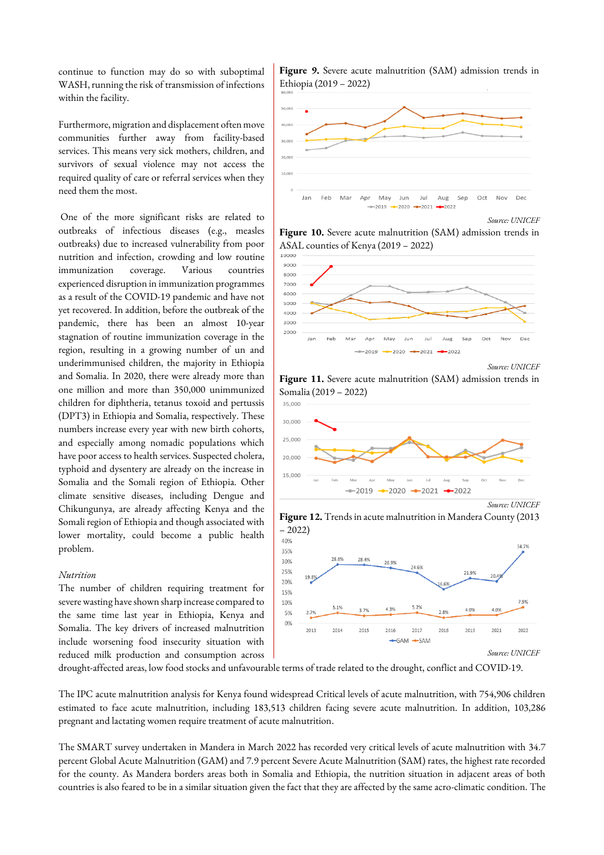continue to function may do so with suboptimal WASH, running the risk of transmission of infections within the facility.

Furthermore, migration and displacement often move communities further away from facility-based services. This means very sick mothers, children, and survivors of sexual violence may not access the required quality of care or referral services when they need them the most.

One of the more significant risks are related to outbreaks of infectious diseases (e.g., measles outbreaks) due to increased vulnerability from poor nutrition and infection, crowding and low routine immunization coverage. Various countries experienced disruption in immunization programmes as a result of the COVID-19 pandemic and have not yet recovered. In addition, before the outbreak of the pandemic, there has been an almost 10-year stagnation of routine immunization coverage in the region, resulting in a growing number of un and underimmunised children, the majority in Ethiopia and Somalia. In 2020, there were already more than one million and more than 350,000 unimmunized children for diphtheria, tetanus toxoid and pertussis (DPT3) in Ethiopia and Somalia, respectively. These numbers increase every year with new birth cohorts, and especially among nomadic populations which have poor access to health services. Suspected cholera, typhoid and dysentery are already on the increase in Somalia and the Somali region of Ethiopia. Other climate sensitive diseases, including Dengue and Chikungunya, are already affecting Kenya and the Somali region of Ethiopiaand though associated with lower mortality, could become a public health problem.

#### *Nutrition*

The number of children requiring treatment for severe wasting have shown sharp increase compared to the same time last year in Ethiopia, Kenya and Somalia. The key drivers of increased malnutrition include worsening food insecurity situation with reduced milk production and consumption across

**Figure 9.** Severe acute malnutrition (SAM) admission trends in Ethiopia (2019 – 2022)



**Figure 10.** Severe acute malnutrition (SAM) admission trends in ASAL counties of Kenya (2019 – 2022)



*Source: UNICEF*

**Figure 11.** Severe acute malnutrition (SAM) admission trends in Somalia (2019 – 2022)



**Figure 12.** Trends in acute malnutrition in Mandera County (2013



drought-affected areas, low food stocks and unfavourable terms of trade related to the drought, conflict and COVID-19.

– 2022)

The IPC acute malnutrition analysis for Kenya found widespread Critical levels of acute malnutrition, with 754,906 children estimated to face acute malnutrition, including 183,513 children facing severe acute malnutrition. In addition, 103,286 pregnant and lactating women require treatment of acute malnutrition.

The SMART survey undertaken in Mandera in March 2022 has recorded very critical levels of acute malnutrition with 34.7 percent Global Acute Malnutrition (GAM) and 7.9 percent Severe Acute Malnutrition (SAM) rates, the highest rate recorded for the county. As Mandera borders areas both in Somalia and Ethiopia, the nutrition situation in adjacent areas of both countries is also feared to be in a similar situation given the fact that they are affected by the same acro-climatic condition. The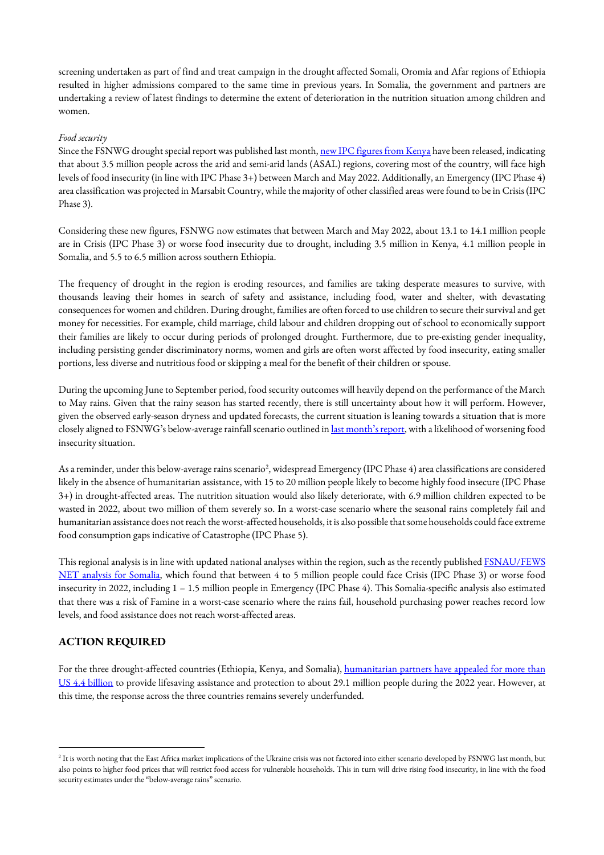screening undertaken as part of find and treat campaign in the drought affected Somali, Oromia and Afar regions of Ethiopia resulted in higher admissions compared to the same time in previous years. In Somalia, the government and partners are undertaking a review of latest findings to determine the extent of deterioration in the nutrition situation among children and women.

#### *Food security*

Since the FSNWG drought special report was published last month[, new IPC figures from Kenya](https://reliefweb.int/report/kenya/kenya-2021-short-rains-season-assessment-report-february-2022) have been released, indicating that about 3.5 million people across the arid and semi-arid lands (ASAL) regions, covering most of the country, will face high levels of food insecurity (in line with IPC Phase 3+) between March and May 2022. Additionally, an Emergency (IPC Phase 4) area classification was projected in Marsabit Country, while the majority of other classified areas were found to be in Crisis (IPC Phase 3).

Considering these new figures, FSNWG now estimates that between March and May 2022, about 13.1 to 14.1 million people are in Crisis (IPC Phase 3) or worse food insecurity due to drought, including 3.5 million in Kenya, 4.1 million people in Somalia, and 5.5 to 6.5 million across southern Ethiopia.

The frequency of drought in the region is eroding resources, and families are taking desperate measures to survive, with thousands leaving their homes in search of safety and assistance, including food, water and shelter, with devastating consequences for women and children. During drought, families are often forced to use children to secure their survival and get money for necessities. For example, child marriage, child labour and children dropping out of school to economically support their families are likely to occur during periods of prolonged drought. Furthermore, due to pre-existing gender inequality, including persisting gender discriminatory norms, women and girls are often worst affected by food insecurity, eating smaller portions, less diverse and nutritious food or skipping a meal for the benefit of their children or spouse.

During the upcoming June to September period, food security outcomes will heavily depend on the performance of the March to May rains. Given that the rainy season has started recently, there is still uncertainty about how it will perform. However, given the observed early-season dryness and updated forecasts, the current situation is leaning towards a situation that is more closely aligned to FSNWG's below-average rainfall scenario outlined in [last month's report](https://www.icpac.net/fsnwg/fsnwg-special-report-on-drought/), with a likelihood of worsening food insecurity situation.

As a reminder, under this below-average rains scenario<sup>2</sup>, widespread Emergency (IPC Phase 4) area classifications are considered likely in the absence of humanitarian assistance, with 15 to 20 million people likely to become highly food insecure (IPC Phase 3+) in drought-affected areas. The nutrition situation would also likely deteriorate, with 6.9 million children expected to be wasted in 2022, about two million of them severely so. In a worst-case scenario where the seasonal rains completely fail and humanitarian assistance does not reach theworst-affected households, it is also possible that some households could face extreme food consumption gaps indicative of Catastrophe (IPC Phase 5).

This regional analysis is in line with updated national analyses within the region, such as the recently published FSNAU/FEWS [NET analysis for Somalia,](https://www.fsnau.org/node/1944) which found that between 4 to 5 million people could face Crisis (IPC Phase 3) or worse food insecurity in 2022, including 1 – 1.5 million people in Emergency (IPC Phase 4). This Somalia-specific analysis also estimated that there was a risk of Famine in a worst-case scenario where the rains fail, household purchasing power reaches record low levels, and food assistance does not reach worst-affected areas.

## **ACTION REQUIRED**

For the three drought-affected countries (Ethiopia, Kenya, and Somalia), [humanitarian partners have appealed for more than](https://reliefweb.int/sites/reliefweb.int/files/resources/20220323_RHPT_KeyMessages_HornOfAfricaDrought_Update.pdf) [US 4.4 billion](https://reliefweb.int/sites/reliefweb.int/files/resources/20220323_RHPT_KeyMessages_HornOfAfricaDrought_Update.pdf) to provide lifesaving assistance and protection to about 29.1 million people during the 2022 year. However, at this time, the response across the three countries remains severely underfunded.

 $^2$  It is worth noting that the East Africa market implications of the Ukraine crisis was not factored into either scenario developed by FSNWG last month, but also points to higher food prices that will restrict food access for vulnerable households. This in turn will drive rising food insecurity, in line with the food security estimates under the "below-average rains" scenario.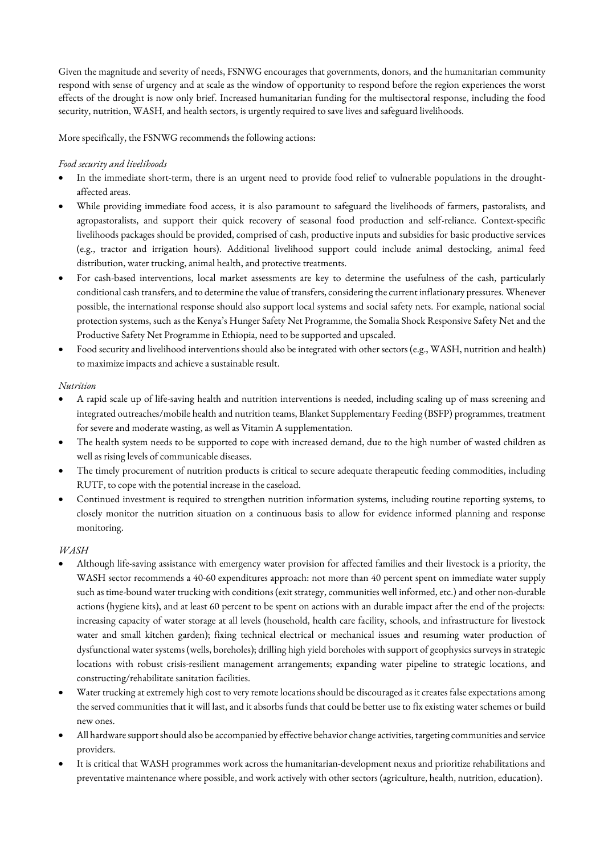Given the magnitude and severity of needs, FSNWG encourages that governments, donors, and the humanitarian community respond with sense of urgency and at scale as the window of opportunity to respond before the region experiences the worst effects of the drought is now only brief. Increased humanitarian funding for the multisectoral response, including the food security, nutrition, WASH, and health sectors, is urgently required to save lives and safeguard livelihoods.

More specifically, the FSNWG recommends the following actions:

## *Food security and livelihoods*

- In the immediate short-term, there is an urgent need to provide food relief to vulnerable populations in the droughtaffected areas.
- While providing immediate food access, it is also paramount to safeguard the livelihoods of farmers, pastoralists, and agropastoralists, and support their quick recovery of seasonal food production and self-reliance. Context-specific livelihoods packages should be provided, comprised of cash, productive inputs and subsidies for basic productive services (e.g., tractor and irrigation hours). Additional livelihood support could include animal destocking, animal feed distribution, water trucking, animal health, and protective treatments.
- For cash-based interventions, local market assessments are key to determine the usefulness of the cash, particularly conditional cash transfers, and to determine the value of transfers, considering the current inflationary pressures. Whenever possible, the international response should also support local systems and social safety nets. For example, national social protection systems, such as the Kenya's Hunger Safety Net Programme, the Somalia Shock Responsive Safety Net and the Productive Safety Net Programme in Ethiopia, need to be supported and upscaled.
- Food security and livelihood interventions should also be integrated with other sectors (e.g., WASH, nutrition and health) to maximize impacts and achieve a sustainable result.

## *Nutrition*

- A rapid scale up of life-saving health and nutrition interventions is needed, including scaling up of mass screening and integrated outreaches/mobile health and nutrition teams, Blanket Supplementary Feeding (BSFP) programmes, treatment for severe and moderate wasting, as well as Vitamin A supplementation.
- The health system needs to be supported to cope with increased demand, due to the high number of wasted children as well as rising levels of communicable diseases.
- The timely procurement of nutrition products is critical to secure adequate therapeutic feeding commodities, including RUTF, to cope with the potential increase in the caseload.
- Continued investment is required to strengthen nutrition information systems, including routine reporting systems, to closely monitor the nutrition situation on a continuous basis to allow for evidence informed planning and response monitoring.

## *WASH*

- Although life-saving assistance with emergency water provision for affected families and their livestock is a priority, the WASH sector recommends a 40-60 expenditures approach: not more than 40 percent spent on immediate water supply such as time-bound water trucking with conditions (exit strategy, communities well informed, etc.) and other non-durable actions (hygiene kits), and at least 60 percent to be spent on actions with an durable impact after the end of the projects: increasing capacity of water storage at all levels (household, health care facility, schools, and infrastructure for livestock water and small kitchen garden); fixing technical electrical or mechanical issues and resuming water production of dysfunctional water systems (wells, boreholes); drilling high yield boreholes with support of geophysics surveys in strategic locations with robust crisis-resilient management arrangements; expanding water pipeline to strategic locations, and constructing/rehabilitate sanitation facilities.
- Water trucking at extremely high cost to very remote locations should be discouraged as it creates false expectations among the served communities that it will last, and it absorbs funds that could be better use to fix existing water schemes or build new ones.
- All hardware support should also be accompanied by effective behavior change activities, targeting communities and service providers.
- It is critical that WASH programmes work across the humanitarian-development nexus and prioritize rehabilitations and preventative maintenance where possible, and work actively with other sectors (agriculture, health, nutrition, education).